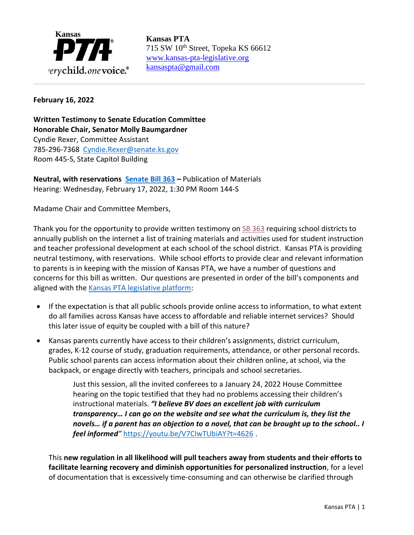

715 SW 10th Street, Topeka KS 66612 [www.kansas-pta-legislative.org](http://www.kansas-pta-legislative.org/)  [kansaspta@gmail.com](mailto:kansaspta@gmail.com)

## **February 16, 2022**

**Written Testimony to Senate Education Committee Honorable Chair, Senator Molly Baumgardner** Cyndie Rexer, Committee Assistant 785-296-7368 [Cyndie.Rexer@senate.ks.gov](mailto:Cyndie.Rexer@senate.ks.gov) Room 445-S, State Capitol Building

**Neutral, with reservations [Senate Bill 363](http://www.kslegislature.org/li/b2021_22/measures/sb363/) –** Publication of Materials Hearing: Wednesday, February 17, 2022, 1:30 PM Room 144-S

Madame Chair and Committee Members,

Thank you for the opportunity to provide written testimony on [SB 363](http://www.kslegislature.org/li/b2021_22/measures/sb363/) requiring school districts to annually publish on the internet a list of training materials and activities used for student instruction and teacher professional development at each school of the school district. Kansas PTA is providing neutral testimony, with reservations. While school efforts to provide clear and relevant information to parents is in keeping with the mission of Kansas PTA, we have a number of questions and concerns for this bill as written. Our questions are presented in order of the bill's components and aligned with the [Kansas PTA legislative platform:](https://kansas-pta.org/advocacy/legislative-priorities/)

- If the expectation is that all public schools provide online access to information, to what extent do all families across Kansas have access to affordable and reliable internet services? Should this later issue of equity be coupled with a bill of this nature?
- Kansas parents currently have access to their children's assignments, district curriculum, grades, K-12 course of study, graduation requirements, attendance, or other personal records. Public school parents can access information about their children online, at school, via the backpack, or engage directly with teachers, principals and school secretaries.

Just this session, all the invited conferees to a January 24, 2022 House Committee hearing on the topic testified that they had no problems accessing their children's instructional materials. *"I believe BV does an excellent job with curriculum transparency… I can go on the website and see what the curriculum is, they list the novels… if a parent has an objection to a novel, that can be brought up to the school.. I feel informed"* <https://youtu.be/V7CIwTUbiAY?t=4626> .

This **new regulation in all likelihood will pull teachers away from students and their efforts to facilitate learning recovery and diminish opportunities for personalized instruction**, for a level of documentation that is excessively time-consuming and can otherwise be clarified through